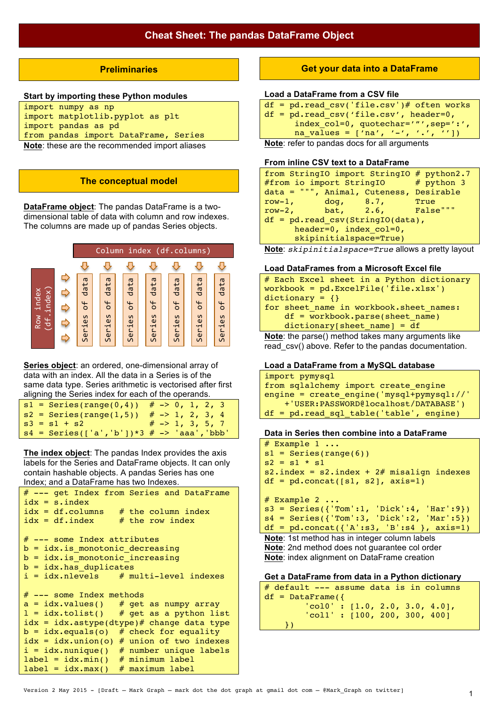## **Preliminaries**

### **Start by importing these Python modules**

| Note: these are the recommended import aliases |
|------------------------------------------------|
| from pandas import DataFrame, Series           |
| import pandas as pd                            |
| import matplotlib.pyplot as plt                |
| import numpy as np                             |

**Note**: these are the recommended import aliases

## **The conceptual model**

**DataFrame object**: The pandas DataFrame is a twodimensional table of data with column and row indexes. The columns are made up of pandas Series objects.



**Series object**: an ordered, one-dimensional array of data with an index. All the data in a Series is of the same data type. Series arithmetic is vectorised after first aligning the Series index for each of the operands.

|  | $s1 = Series(range(0, 4)) # -> 0, 1, 2, 3$       |  |  |                            |  |
|--|--------------------------------------------------|--|--|----------------------------|--|
|  | $s2 = Series(range(1,5))$                        |  |  | $# \rightarrow 1, 2, 3, 4$ |  |
|  | $s3 = s1 + s2$ # -> 1, 3, 5, 7                   |  |  |                            |  |
|  | $s4 = Series([ 'a', 'b' ]) *3 # -> 'aaa', 'bbb'$ |  |  |                            |  |

**The index object**: The pandas Index provides the axis labels for the Series and DataFrame objects. It can only contain hashable objects. A pandas Series has one Index; and a DataFrame has two Indexes.

```
# --- get Index from Series and DataFrame 
idx = s.index<br>idx = df.columnsidx = df.columns # the column index<br>idx = df.index # the row index
                     # the row index
# --- some Index attributes
b = idx.is monotonic decreasing
b = idx.is monotonic increasing
b = idx.has duplicates
i = i dx.nlevels # multi-level indexes
# --- some Index methods
a = i dx.values() # get as numpy array<br>1 = i dx.title() # get as a python lis
                     # get as a python list
idx = idxetext{}.astype(dtype)# change data type
b = idx.equals(o) # check for equality
idx = idx.union(o) # union of two indexes
i = idx.nunique() # number unique labels
label = idx.min() # minimum label
label = idx.max() # maximum label
```
## **Get your data into a DataFrame**

#### **Load a DataFrame from a CSV file**

| $df = pd.read.csv('file.csv')# often works$  |
|----------------------------------------------|
| $df = pd.read.csv('file.csv', header=0,$     |
| index $col=0$ , quotechar='"', sep=':',      |
| na values = $[ 'na', '-'', '.'', ''] )$      |
| Note: refer to pended does for all erguments |

#### **Note**: refer to pandas docs for all arguments

## **From inline CSV text to a DataFrame**

| from StringIO import StringIO # python2.7 |                        |                        |
|-------------------------------------------|------------------------|------------------------|
| $#$ from io import StringIO $#$ python 3  |                        |                        |
| data = """, Animal, Cuteness, Desirable   |                        |                        |
| row-1, $\frac{d}{dq}$ , 8.7,              |                        | <b>Example 19</b> True |
| row-2, $bat, 2.6,$                        |                        | and <b>False</b> """   |
| $df = pd.read csv(StringIO(data),$        |                        |                        |
|                                           | header=0, index col=0, |                        |
|                                           | skipinitialspace=True) |                        |

**Note**: *skipinitialspace=True* allows a pretty layout

### **Load DataFrames from a Microsoft Excel file**

| # Each Excel sheet in a Python dictionary                                                                                               |
|-----------------------------------------------------------------------------------------------------------------------------------------|
| workbook = $pd \cdot ExcelFile('file \cdot xlsx')$                                                                                      |
| $dictionary = \{\}$                                                                                                                     |
| for sheet name in workbook. sheet names:                                                                                                |
| $df = workbook.parse(sheet name)$                                                                                                       |
| $dictionary[sheet name] = df$                                                                                                           |
| $\mathbf{a}$ and $\mathbf{a}$ and $\mathbf{a}$ and $\mathbf{a}$ and $\mathbf{a}$ and $\mathbf{a}$ and $\mathbf{a}$ and $\mathbf{a}$<br> |

**Note**: the parse() method takes many arguments like read  $csv()$  above. Refer to the pandas documentation.

## **Load a DataFrame from a MySQL database**

```
import pymysql
from sqlalchemy import create engine
engine = create engine('mysql+pymysql://'
     +'USER:PASSWORD@localhost/DATABASE')
df = pd.read_sql_table('table', engine)
```
#### **Data in Series then combine into a DataFrame**

```
# Example 1 ...
s1 = Series(range(6))s2 = s1 * s1s2.index = s2.index + 2# misalign indexesdf = pd.concat([s1, s2], axis=1)# Example 2 ...
s3 = Series({'Tom':1, 'Dick':4, 'Har':9})s4 = Series({'Tom':3, 'Dick':2, 'Mar':5})
```

```
df = pd.concat({'A':s3, 'B':s4 }, axis=1)Note: 1st method has in integer column labels
Note: 2nd method does not guarantee col order
```
**Note**: index alignment on DataFrame creation

### **Get a DataFrame from data in a Python dictionary**

```
# default --- assume data is in columns
df = DataFrame({}'col0' : [1.0, 2.0, 3.0, 4.0], 'col1' : [100, 200, 300, 400] 
     })
```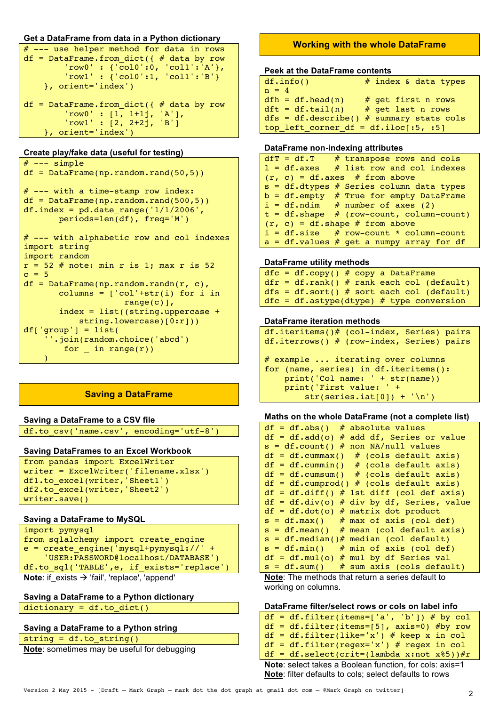```
Get a DataFrame from data in a Python dictionary
```

```
# --- use helper method for data in rows
df = DataFrame.From_dict({ } # data by row'row0' : {\overline{col0}':0, 'col1':'A'},
        'row1' : {'col0':1, 'col1':'B'}
     }, orient='index')
df = DataFrame.From_dict({ } # data by row 'row0' : [1, 1+1j, 'A'],
         'row1' : [2, 2+2j, 'B']
     }, orient='index')
```
## **Create play/fake data (useful for testing)**

```
# --- simple
df = DataFrame(np.random.rand(50,5))
# --- with a time-stamp row index:
df = DataFrame(np.random.randn(500,5))df.index = pd.data range('1/1/2006', periods=len(df), freq='M')
# --- with alphabetic row and col indexes
import string
import random
r = 52 # note: min r is 1; max r is 52
c = 5df = DataFrame(np.random.randn(r, c),columns = ['col'+str(i)] for i in
                     range(c)],
        index = list((string.uppercase + 
          string.lowercase)[0:r]))
df['group'] = list( ''.join(random.choice('abcd') 
        for in range(r))
\sim )
```
## **Saving a DataFrame**

## **Saving a DataFrame to a CSV file**

df.to\_csv('name.csv', encoding='utf-8')

## **Saving DataFrames to an Excel Workbook**

```
from pandas import ExcelWriter
writer = ExcelWriter('filename.xlsx')
df1.to_excel(writer,'Sheet1')
df2.to_excel(writer,'Sheet2')
writer.save()
```
## **Saving a DataFrame to MySQL**

```
import pymysql
from sqlalchemy import create engine
e = create engine('mysql+pymysql://' +
     'USER:PASSWORD@localhost/DATABASE')
df.to_sql('TABLE',e, if_exists='replace')
Note: if exists → 'fail', 'replace', 'append'
```
## **Saving a DataFrame to a Python dictionary**

dictionary = df.to\_dict()

## **Saving a DataFrame to a Python string**

```
string = df.to string()
```
**Note**: sometimes may be useful for debugging

# **Working with the whole DataFrame**

## **Peek at the DataFrame contents**

| df.info()                               | # index & data types                       |
|-----------------------------------------|--------------------------------------------|
| $n = 4$                                 |                                            |
| $dfh = df.head(n)$                      | # get first n rows                         |
| $dft = df.tail(n)$                      | # get last n rows                          |
|                                         | dfs = df.describe() $#$ summary stats cols |
| top left corner df = $df$ .iloc[:5, :5] |                                            |

## **DataFrame non-indexing attributes**

|  | $dfT = df.T$ # transpose rows and cols           |
|--|--------------------------------------------------|
|  | $l = df \cdot axes$ # list row and col indexes   |
|  | $(r, c) = df \cdot axes \# from above$           |
|  | $s = df.dtypes$ # Series column data types       |
|  | $b = df.\n$ empty # True for empty DataFrame     |
|  | $i = df.ndim$ # number of axes (2)               |
|  | $t = df.shape$ # (row-count, column-count)       |
|  | $(r, c) = df.shape # from above$                 |
|  | $i = df.size$ # row-count * column-count         |
|  | $a = df.value$ walues # get a numpy array for df |

### **DataFrame utility methods**

```
dfc = df.copy() # copy a DataFrame
dfr = df.random() # rank each col (default)
dfs = df.sort() # sort each col (default)
dfc = df.astyle(dtype) # type conversion
```
### **DataFrame iteration methods**

```
df.iteritems()# (col-index, Series) pairs
df.iterrows() # (row-index, Series) pairs
# example ... iterating over columns
for (name, series) in df.iteritems():
    print('Col name: ' + str(name))
    print('First value: ' + 
        str(series.iat[0]) + 'n')
```
## **Maths on the whole DataFrame (not a complete list)**

| $df = df.abs()$ # absolute values           |
|---------------------------------------------|
| $df = df.add(o)$ # add df, Series or value  |
| $s = df.count()$ # non NA/null values       |
| $df = df.cummax()$ # (cols default axis)    |
| $df = df.cummin()$ # (cols default axis)    |
| $df = df.cumsum()$ # (cols default axis)    |
| $df = df.cumprod() # (cols default axis)$   |
| $df = df.diff() # 1st diff (col def axis)$  |
| $df = df.div(o)$ # div by df, Series, value |
| $df = df.dot(o)$ # matrix dot product       |
| $s = df.max()$ # max of axis (col def)      |
| $s = df.macan()$ # mean (col default axis)  |
| $s = df.median()$ # median (col default)    |
| $s = df.min()$ # min of axis (col def)      |
| $df = df.mul(o) # mul by df Series val$     |
| $s = df.sum()$ # sum axis (cols default)    |

**Note**: The methods that return a series default to working on columns.

## **DataFrame filter/select rows or cols on label info**

| $df = df.filter(items=[ 'a', 'b'] ) # by col$           |
|---------------------------------------------------------|
| $df = df.filter(items=[5], axis=0)$ #by row             |
| $df = df.filter(like='x') # keep x in col$              |
| $df = df.filter(regex='x') # regex in col$              |
| $df = df.setlect(crit=(lambda x:not x*5))$ #r           |
| Note: select takes a Boolean function, for cols: axis=1 |
| Note: filter defaults to cols; select defaults to rows  |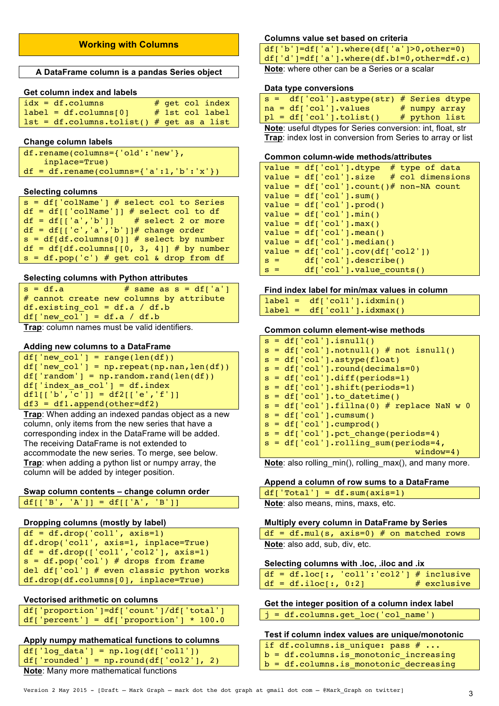## **Working with Columns**

### **A DataFrame column is a pandas Series object**

## **Get column index and labels**

| $idx = df.columns$                         |  | $#$ get col index |
|--------------------------------------------|--|-------------------|
| $label = df.columns[0]$                    |  | # 1st col label   |
| $lst = df.column.tolist() # get as a list$ |  |                   |

### **Change column labels**

| $df.$ rename(columns={'old':'new'},        |  |
|--------------------------------------------|--|
| inplace=True)                              |  |
| $df = df.$ rename(columns={'a':1,'b':'x'}) |  |

### **Selecting columns**

| $s = df['colName']$ # select col to Series |
|--------------------------------------------|
| $df = df[['colName'] # select col to df]$  |
| $df = df[[a', 'b']]$ # select 2 or more    |
| $df = df[['c', 'a', 'b']]$ # change order  |
| $s = df(df.columnf011 # select by number$  |
| $df = df(df.columns[0, 3, 4]] # by number$ |
| $s = df.pop('c') # get col & drop from df$ |

#### **Selecting columns with Python attributes**

| $s = df.a$                                               | # same as $s = df['a']$                  |
|----------------------------------------------------------|------------------------------------------|
|                                                          | # cannot create new columns by attribute |
| df.existing $col = df.a / df.b$                          |                                          |
| df $\lceil \cdot \rceil$ new col' $\rceil$ = df.a / df.b |                                          |

**Trap**: column names must be valid identifiers.

### **Adding new columns to a DataFrame**

| $df['new col'] = range(len(df))$               |
|------------------------------------------------|
| $df['new col'] = np.request(np.name, len(df))$ |
| $df['random'] = np.random.randn(len(df))$      |
| $df['index as col'] = df.index$                |
| $df1[f'b', 'c'] = df2[f'e', 'f']$              |
| $df3 = df1.append(other=df2)$                  |

**Trap**: When adding an indexed pandas object as a new column, only items from the new series that have a corresponding index in the DataFrame will be added. The receiving DataFrame is not extended to accommodate the new series. To merge, see below. **Trap**: when adding a python list or numpy array, the column will be added by integer position.

## **Swap column contents – change column order** df[['B', 'A']] = df[['A', 'B']]

# **Dropping columns (mostly by label)**

```
df = df.drop('coll', axis=1)df.drop('col1', axis=1, inplace=True)
df = df.drop(['coll', 'col2'], axis=1)s = df.pop('col') # drops from framedel df['col'] # even classic python works
df.drop(df.columns[0], inplace=True)
```
## **Vectorised arithmetic on columns**

| df['proportion']=df['count']/df['total']   |  |
|--------------------------------------------|--|
| $df['percent'] = df['proportion'] * 100.0$ |  |

## **Apply numpy mathematical functions to columns**

| $df['log data'] = np.log(df['coll'])$      |  |  |  |
|--------------------------------------------|--|--|--|
| $df['rounded'] = np.roomdf(df['col2'], 2)$ |  |  |  |
| Neta: Many mare mathematical functions     |  |  |  |

**Note**: Many more mathematical functions

## **Columns value set based on criteria**

**Note**: where other can be a Series or a scalar

### **Data type conversions**

| $s = df['col']$ .astype(str) # Series dtype |                 |
|---------------------------------------------|-----------------|
| $na = df['col']$ . values                   | $#$ numpy array |
| $pl = df['col'].tolist()$                   | # python list   |

**Note**: useful dtypes for Series conversion: int, float, str **Trap**: index lost in conversion from Series to array or list

### **Common column-wide methods/attributes**

|       | value = $df['col']$ .dtype # type of data     |
|-------|-----------------------------------------------|
|       | $value = df['col']$ .size<br># col dimensions |
|       | value = $df['col']$ .count()# non-NA count    |
|       | $value = df['col'] . sum()$                   |
|       | $value = df['col'] . prod()$                  |
|       | $value = df['col'] .min()$                    |
|       | $value = df['col'] . max()$                   |
|       | $value = df['col'] .mean()$                   |
|       | $value = df['col']$ . median()                |
|       | $value = df['col'].cov(df['col2'])$           |
| $S =$ | df['col'].describe()                          |
| $s =$ | $df['col']$ . value counts()                  |

### **Find index label for min/max values in column**

```
label = df['coll'].idxmin()label = df['coll'].idxmax()
```
### **Common column element-wise methods**

| $s = df['col']$ .isnull()                    |
|----------------------------------------------|
| $s = df['col'],notnull() \# not isnull()$    |
| $s = df['col']$ .astype(float)               |
| $s = df['col']$ .round(decimals=0)           |
| $s = df['col']$ .diff(periods=1)             |
| $s = df['col']$ .shift(periods=1)            |
| $s = df['col']$ .to datetime()               |
| $s = df['col'], fillna(0) # replace NaN w 0$ |
| $s = df['col']. cum sum()$                   |
| $s = df['col']. cumprod()$                   |
| $s = df['col']$ . pct change(periods=4)      |
| $s = df['col']$ .rolling sum(periods=4,      |
| $window=4)$                                  |

**Note**: also rolling\_min(), rolling\_max(), and many more.

### **Append a column of row sums to a DataFrame**

|                                    | $df['Total'] = df.sum(axis=1)$ |
|------------------------------------|--------------------------------|
| Note: also means, mins, maxs, etc. |                                |

#### **Multiply every column in DataFrame by Series**

|  | $df = df.mul(s, axis=0)$ # on matched rows |  |  |  |
|--|--------------------------------------------|--|--|--|
|  | Note: also add, sub, div, etc.             |  |  |  |

### **Selecting columns with .loc, .iloc and .ix**

|  |                        | $df = df.log[:, 'coll':'col2'] # inclusive$ |               |
|--|------------------------|---------------------------------------------|---------------|
|  | $df = df.iloc[:, 0:2]$ |                                             | $#$ exclusive |

**Get the integer position of a column index label** j = df.columns.get\_loc('col\_name')

### **Test if column index values are unique/monotonic**

if df.columns.is\_unique: pass # ...  $b = df.column. is monotonic-increasing$ 

 $b = df.columns.is-monotonic\_decreasing$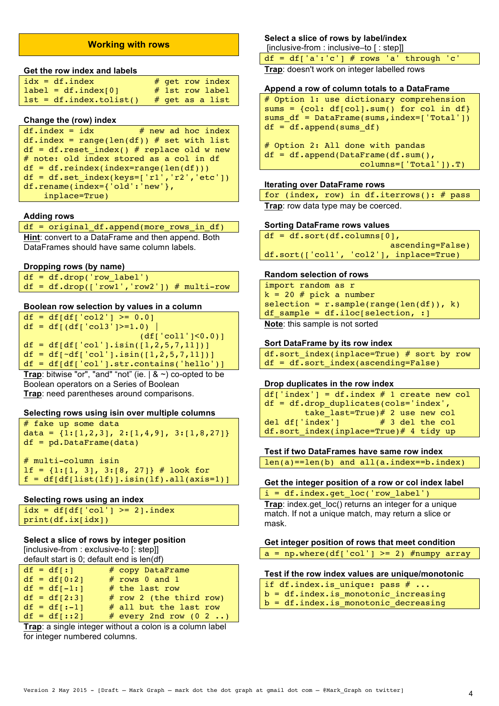## **Working with rows**

#### **Get the row index and labels**

| $idx = df.index$          |  | $#$ qet row index |
|---------------------------|--|-------------------|
| $label = df.index[0]$     |  | $#$ 1st row label |
| $lst = df.index.tolist()$ |  | $#$ qet as a list |

### **Change the (row) index**

```
df.index = idx # new ad hoc index
df.index = range(len(df)) # set with list
df = df \cdot reset\_index() # replace old w new
# note: old index stored as a col in df
df = df.reindex(int=range(len(df)))df = df.set_index(keys=['r1','r2','etc'])
df.rename(index={'old':'new'}, 
   inplace=True)
```
### **Adding rows**

df = original\_df.append(more\_rows\_in\_df) **Hint**: convert to a DataFrame and then append. Both DataFrames should have same column labels.

### **Dropping rows (by name)**

df = df.drop('row\_label')  $df = df.drop(['row1', 'row2']) # multi-row$ 

### **Boolean row selection by values in a column**

 $df = df(df['col2'] >= 0.0]$ df = df[(df['col3']>=1.0) |  $(df)'$  coll' $|<0.0$ )]  $df = df[df['col']$ .isin( $[1, 2, 5, 7, 11])$ ]  $df = df[-df['col']$ .isin([1,2,5,7,11])] df = df[df['col'].str.contains('hello')]

**Trap**: bitwise "or", "and" "not" (ie.  $\mid$  &  $\sim$ ) co-opted to be Boolean operators on a Series of Boolean **Trap**: need parentheses around comparisons.

## **Selecting rows using isin over multiple columns**

# fake up some data data =  $\{1:[1,2,3], 2:[1,4,9], 3:[1,8,27]\}$ df = pd.DataFrame(data) # multi-column isin  $lf = \{1:[1, 3], 3:[8, 27]\}$  # look for  $f = df(df[iist(lf)].isin(lf).all(axis=1)]$ 

### **Selecting rows using an index**

```
idx = df[df['col'] \geq 2].indexprint(df.ix[idx])
```
### **Select a slice of rows by integer position**

[inclusive-from : exclusive-to [: step]] default start is 0; default end is len(df)

| $df = df[:1]$   | # copy DataFrame           |
|-----------------|----------------------------|
| $df = df[0:2]$  | # rows 0 and 1             |
| $df = df[-1:1]$ | # the last row             |
| $df = df[2:3]$  | $#$ row 2 (the third row)  |
| $df = df[:-1]$  | # all but the last row     |
| $df = df[::2]$  | # every 2nd row $(0, 2, )$ |

**Trap**: a single integer without a colon is a column label for integer numbered columns.

## **Select a slice of rows by label/index**

[inclusive-from : inclusive–to [ : step]]

 $df = df['a':'c'] # rows 'a' through 'c'$ **Trap**: doesn't work on integer labelled rows

### **Append a row of column totals to a DataFrame**

# Option 1: use dictionary comprehension sums = {col: df[col].sum() for col in df} sums\_df = DataFrame(sums,index=['Total'])  $df = df.append(sums df)$ 

```
# Option 2: All done with pandas
df = df.append(DataFrame(df.sum(), 
                    columns=['Total']).T)
```
## **Iterating over DataFrame rows**

|  |  | for (index, row) in df.iterrows(): $#$ pass |  |
|--|--|---------------------------------------------|--|
|  |  | Trap: row data type may be coerced.         |  |

#### **Sorting DataFrame rows values**

```
df = df.sort(df<u>icollums[0],</u>
                            ascending=False)
df.sort(['col1', 'col2'], inplace=True)
```
#### **Random selection of rows**

import random as r  $k = 20$  # pick a number  $selection = r.sample(range(len(df)), k)$ df sample = df.iloc[selection,  $:$ ] **Note**: this sample is not sorted

```
Sort DataFrame by its row index
df.sort_index(inplace=True) # sort by row
df = df.sort_index(asending=False)
```
### **Drop duplicates in the row index**

```
df['index'] = df.index # 1 create new coldf = df.drop_duplicates(cols='index', 
         take\_last=True) # 2 use new col<br>index'1  # 3 del the coldel df['index']
df.sort_index(inplace=True)# 4 tidy up
```
**Test if two DataFrames have same row index**

len(a)==len(b) and all(a.index==b.index)

### **Get the integer position of a row or col index label**

i = df.index.get\_loc('row\_label') **Trap**: index.get loc() returns an integer for a unique match. If not a unique match, may return a slice or mask.

## **Get integer position of rows that meet condition**

```
a = np.where(df['col'] >= 2) #numpy array
```
### **Test if the row index values are unique/monotonic**

| if df.index.is unique: pass $# $     |  |  |
|--------------------------------------|--|--|
| b = df.index.is monotonic increasing |  |  |

 $b = df.index.is$  monotonic decreasing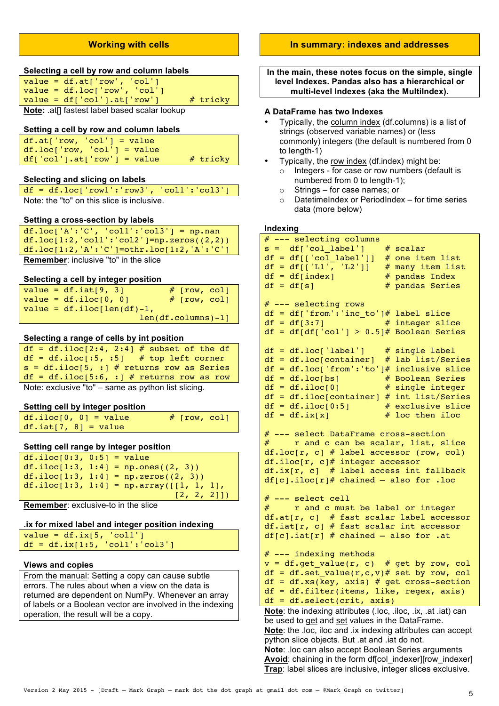## **Working with cells**

### **Selecting a cell by row and column labels**

| value = $df.at['row', 'col']$            |            |
|------------------------------------------|------------|
| $value = df.loc['row', 'col']$           |            |
| $value = df['col'] . at['row']$          | $#$ tricky |
| Nata: officers to be headed assistant un |            |

**Note:** .at|| fastest label based scalar lookup

### **Setting a cell by row and column labels**

| $df.at['row, 'col'] = value$  |            |
|-------------------------------|------------|
| $df.loc['row, 'col'] = value$ |            |
| $df['col'].at['row'] = value$ | $#$ tricky |

## **Selecting and slicing on labels**

| $df = df.loc['row1':'row3', 'coll':'col3']$ |  |
|---------------------------------------------|--|
| Note: the "to" on this slice is inclusive.  |  |

### **Setting a cross-section by labels**

| $df.loc['A':'C', 'coll':'col3'] = np.nan$        |
|--------------------------------------------------|
| df.loc $[1:2, 'coll': 'col2'] = np.zeros((2,2))$ |
| df.loc $[1:2,'A':C'] = othr.loc[1:2,'A':C']$     |
| <b>Remember:</b> inclusive "to" in the slice     |

### **Selecting a cell by integer position**

| value = $df.iat[9, 3]$         | $#$ [row, col]       |
|--------------------------------|----------------------|
| value = $df.iloc[0, 0]$        | $#$ [row, col]       |
| value = $df.iloc[len(df)-1]$ , |                      |
|                                | $len(df.columns)-1]$ |

### **Selecting a range of cells by int position**

| $df = df.iloc[2:4, 2:4]$ # subset of the df         |
|-----------------------------------------------------|
| $df = df.iloc[:5, :5]$ # top left corner            |
| $s = df.iloc[5, :]$ # returns row as Series         |
| $df = df.iloc[5:6, :]$ # returns row as row         |
| Note: exclusive "to" - same as python list slicing. |

#### **Setting cell by integer position**

| $df.iloc[0, 0] = value$ | $#$ [row, col] |  |
|-------------------------|----------------|--|
| $df.iat[7, 8] = value$  |                |  |

### **Setting cell range by integer position**

| $df.iloc[0:3, 0:5] = value$ |                                          |
|-----------------------------|------------------------------------------|
|                             | df.iloc $[1:3, 1:4] = np.ones((2, 3))$   |
|                             | $df.iloc[1:3, 1:4] = np.zeros((2, 3))$   |
|                             | df.iloc[1:3, 1:4] = np.array([[1, 1, 1], |
|                             | [2, 2, 2]]                               |

**Remember**: exclusive-to in the slice

## **.ix for mixed label and integer position indexing**

```
value = df.is[5, 'coll']df = df.ix[1:5, 'coll':'col3']
```
## **Views and copies**

From the manual: Setting a copy can cause subtle errors. The rules about when a view on the data is returned are dependent on NumPy. Whenever an array of labels or a Boolean vector are involved in the indexing operation, the result will be a copy.

## **In summary: indexes and addresses**

**In the main, these notes focus on the simple, single level Indexes. Pandas also has a hierarchical or multi-level Indexes (aka the MultiIndex).** 

#### **A DataFrame has two Indexes**

- Typically, the column index (df.columns) is a list of strings (observed variable names) or (less commonly) integers (the default is numbered from 0 to length-1)
- Typically, the row index (df.index) might be: o Integers - for case or row numbers (default is numbered from 0 to length-1);
	- o Strings for case names; or
	- $\circ$  DatetimeIndex or PeriodIndex for time series data (more below)

### **Indexing**

| # --- selecting columns                                        |                            |
|----------------------------------------------------------------|----------------------------|
| s = df['col_label']                                            | # scalar                   |
| $df = df[ 'col\_label']$                                       | # one item list            |
| df = df[['L1', 'L2']]                                          | many item list<br>#        |
| $df = df[index]$                                               | # pandas Index             |
| $df = df[s]$                                                   | #<br>pandas Series         |
|                                                                |                            |
| # --- selecting rows                                           |                            |
| $df = df['from':'inc_to']$ # label slice                       |                            |
| $df = df[3:7]$                                                 | #<br>integer slice         |
|                                                                |                            |
|                                                                |                            |
|                                                                |                            |
| $df = df.loc['label']$ # single label                          |                            |
| $df = df.log[container]$ # lab list/Series                     |                            |
| $df = df.loc['from': 'to']$ # inclusive slice                  |                            |
| $df = df.loc[bs]$                                              | #<br><b>Boolean Series</b> |
| $df = df.iloc[0]$                                              | #<br>single integer        |
| $df = df.iloc[container] #$                                    | int list/Series            |
| $df = df.iloc[0:5]$                                            | exclusive slice<br>#       |
| $df = df.ix[x]$                                                | loc then iloc<br>#         |
|                                                                |                            |
| # --- select DataFrame cross-section                           |                            |
| # r and c can be scalar, list, slice                           |                            |
| $df.loc[r, c]$ # label accessor (row, col)                     |                            |
| df.iloc[r, c]# integer accessor                                |                            |
| df.ix[r, c] # label access int fallback                        |                            |
| $df[c].iloc[r]\#$ chained - also for .loc                      |                            |
|                                                                |                            |
|                                                                |                            |
| # --- select cell                                              |                            |
| r and c must be label or integer<br>$\#$ and the set of $\#$   |                            |
| df.at[r, c] # fast scalar label accessor                       |                            |
| df.iat[r, c] # fast scalar int accessor                        |                            |
| $df[c].iat[r]$ # chained - also for .at                        |                            |
|                                                                |                            |
| # --- indexing methods                                         |                            |
| $v = df.get_value(r, c) # get by row, col$                     |                            |
| $df = df.set_value(r, c, v) # set by row, col$                 |                            |
| df = df.xs(key, axis) # get cross-section                      |                            |
| df = df.filter(items, like, regex, axis)                       |                            |
| df = df.select(crit, axis)                                     |                            |
| Note: the indexing attributes (.loc, .iloc, .ix, .at .iat) can |                            |
| be used to get and set values in the DataFrame.                |                            |
|                                                                |                            |
| Note: the .loc, iloc and .ix indexing attributes can accept    |                            |
| python slice objects. But .at and .iat do not.                 |                            |
| Note: loc can also accept Boolean Series arguments             |                            |

**Avoid:** chaining in the form df[col\_indexer][row\_indexer] **Trap**: label slices are inclusive, integer slices exclusive.

Version 2 May 2015 - [Draft – Mark Graph – mark dot the dot graph at gmail dot com – @Mark\_Graph on twitter] 5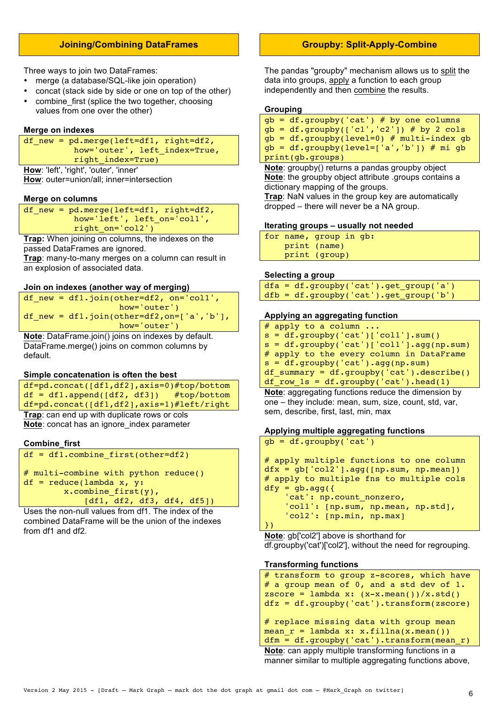## **Joining/Combining DataFrames**

Three ways to join two DataFrames:

- merge (a database/SQL-like join operation)
- concat (stack side by side or one on top of the other)
- combine first (splice the two together, choosing values from one over the other)

#### **Merge on indexes**

```
df new = pd</math>.merge(left=df1, right=df2, how='outer', left_index=True,
            right_index=True)
```
**How**: 'left', 'right', 'outer', 'inner' **How**: outer=union/all; inner=intersection

### **Merge on columns**

df\_new = pd.merge(left=df1, right=df2, how='left', left on='col1', right\_on='col2')

**Trap:** When joining on columns, the indexes on the

passed DataFrames are ignored.

**Trap**: many-to-many merges on a column can result in an explosion of associated data.

#### **Join on indexes (another way of merging)**

```
df_new = df1.join(other=df2, on='col1', 
                    how='outer')
df new = df1.join(other=df2,on=['a','b'],
                    how='outer')
```
**Note**: DataFrame.join() joins on indexes by default. DataFrame.merge() joins on common columns by default.

#### **Simple concatenation is often the best**

```
df=pd.concat([df1,df2],axis=0)#top/bottom
df = df1.append([df2, df3]) #top/bottom
df=pd.concat([df1,df2],axis=1)#left/right
```
**Trap**: can end up with duplicate rows or cols **Note**: concat has an ignore\_index parameter

### **Combine\_first**

```
df = df1.combine first(other=df2)
```

```
# multi-combine with python reduce()
df = reduce(lambda x, y:x.combine first(y),
             [df1, df2, df3, df4, df5])
```
Uses the non-null values from df1. The index of the

combined DataFrame will be the union of the indexes from df1 and df2.

## **Groupby: Split-Apply-Combine**

The pandas "groupby" mechanism allows us to split the data into groups, apply a function to each group independently and then combine the results.

## **Grouping**

|  | $qb = df.qroupby('cat') # by one columns$     |
|--|-----------------------------------------------|
|  | $gb = df.groupby([c1',c2']) # by 2 colspan]$  |
|  | $qb = df.qroupby(level=0) # multi-index qb$   |
|  | $qb = df.qroupby(level=[ 'a', 'b'] ) # mi qb$ |
|  | print(gb.groups)                              |

**Note**: groupby() returns a pandas groupby object **Note**: the groupby object attribute .groups contains a dictionary mapping of the groups.

**Trap**: NaN values in the group key are automatically dropped – there will never be a NA group.

### **Iterating groups – usually not needed**

|  | for name, group in gb: |
|--|------------------------|
|  | print (name)           |
|  | print (group)          |

### **Selecting a group**

```
dfa = df.groupby('cat').get_group('a') 
dfb = df.groupby('cat').get group('b')
```
## **Applying an aggregating function**

```
# apply to a column ...
s = df.groupby('cat')[col1'].sum()s = df.groupby('cat')[coll'],agg(np.sum)# apply to the every column in DataFrame
s = df.groupby('cat').agg(np.sum)
df_summary = df.groupby('cat').describe()
df row_1s = df.groupby('cat').head(1)
```
**Note**: aggregating functions reduce the dimension by one – they include: mean, sum, size, count, std, var, sem, describe, first, last, min, max

## **Applying multiple aggregating functions**

```
gb = df.groupby('cat')
# apply multiple functions to one column
dfx = gb['col2'] .agg([np.sum, np.macan])# apply to multiple fns to multiple cols
dfy = gb . agg({} 'cat': np.count_nonzero,
    'col1': [np.sum, np.mean, np.std],
     'col2': [np.min, np.max]
})
```
**Note**: gb['col2'] above is shorthand for df.groupby('cat')['col2'], without the need for regrouping.

### **Transforming functions**

```
# transform to group z-scores, which have 
# a group mean of 0, and a std dev of 1.
zscore = lambda x: (x-x \cdot \text{mean}()) / x \cdot \text{std}()dfz = df.groupby('cat').transform(zscore)
# replace missing data with group mean
mean r = lambda x: x.fillna(x.mean())
dfm = df.groupby('cat').transform(mean_r)
Note: can apply multiple transforming functions in a 
manner similar to multiple aggregating functions above,
```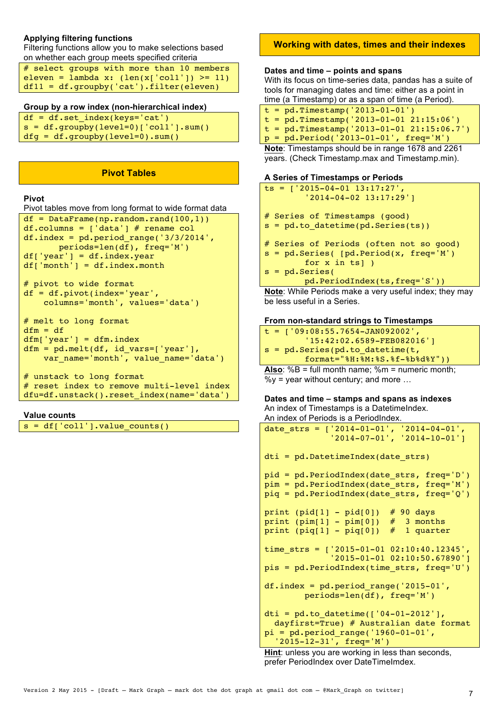## **Applying filtering functions**

Filtering functions allow you to make selections based on whether each group meets specified criteria

# select groups with more than 10 members eleven = lambda x: (len(x['col1']) >= 11) df11 = df.groupby('cat').filter(eleven)

## **Group by a row index (non-hierarchical index)**

 $df = df.set index(kevs='cat')$  $s = df.qroupby(level=0)['coll'].sum()$ dfg = df.groupby(level=0).sum()

### **Pivot Tables**

## **Pivot**

## Pivot tables move from long format to wide format data

```
df = DataFrame(np.random.randn(100,1))df.columns = \left[\n \begin{array}{cc} \n \end{array} \right] # rename col
df.index = pd.period range('3/3/2014', periods=len(df), freq='M')
df['year'] = df.index.yeardf['month'] = df.index.month
```

```
# pivot to wide format
df = df.pivot(index='year', 
     columns='month', values='data')
```

```
# melt to long format
dfm = dfdfm['year'] = dfm.indexdfm = pd.melt(df, id_vars=['year'], 
    var_name='month', value_name='data')
```

```
# unstack to long format
# reset index to remove multi-level index
dfu=df.unstack().reset_index(name='data')
```
### **Value counts**

```
s = df['coll'].value counts()
```
## **Working with dates, times and their indexes**

### **Dates and time – points and spans**

With its focus on time-series data, pandas has a suite of tools for managing dates and time: either as a point in time (a Timestamp) or as a span of time (a Period).

- $t = pd.Timestamp('2013-01-01')$
- $t = pd.Timestamp('2013-01-01 21:15:06')$
- $t = pd.Timestamp('2013-01-01 21:15:06.7')$
- p = pd.Period('2013-01-01', freq='M')

**Note**: Timestamps should be in range 1678 and 2261 years. (Check Timestamp.max and Timestamp.min).

## **A Series of Timestamps or Periods**

```
ts = [12015-04-01 13:17:27] '2014-04-02 13:17:29']
# Series of Timestamps (good)
s = pd.to datetime(pd.Series(ts))# Series of Periods (often not so good)
s = pd.Series( [pd.Period(x, freq='M']) for x in ts] )
s = pd.Series(
         pd.PeriodIndex(ts,freq='S'))
```
**Note**: While Periods make a very useful index; they may be less useful in a Series.

## **From non-standard strings to Timestamps**

 $t = [109:08:55.7654 - JAN092002]$  '15:42:02.6589-FEB082016'] s = pd.Series(pd.to\_datetime(t, format="%H:%M:%S.%f-%b%d%Y"))

**Also**: %B = full month name; %m = numeric month;  $\%y = \text{year without century}$ ; and more ...

### **Dates and time – stamps and spans as indexes** An index of Timestamps is a DatetimeIndex.

An index of Periods is a PeriodIndex.

```
date_strs = ['2014-01-01', '2014-04-01',
 '2014-07-01', '2014-10-01']
dti = pd.DatetimeIndex(date_strs)
pid = pd.PeriodIndex(date_strs, freq='D')
pim = pd.PeriodIndex(date strs, freq='M')
piq = pd.PeriodIndex(date_strs, freq='Q')
print (pid[1] - pid[0]) # 90 days
print (pim[1] - pim[0]) # 3 months
print (piq[1] - piq[0]) # 1 quarter
time_strs = ['2015-01-01 02:10:40.12345',
              '2015-01-01 02:10:50.67890']
pis = pd.PeriodIndex(time_strs, freq='U')
df.index = pd.periodranqe('2015-01', periods=len(df), freq='M')
dti = pd.to datetime([ '04-01-2012' ],
   dayfirst=True) # Australian date format
pi = pd.period range('1960-01-01', '2015-12-31', freq='M')
```
**Hint**: unless you are working in less than seconds, prefer PeriodIndex over DateTimeImdex.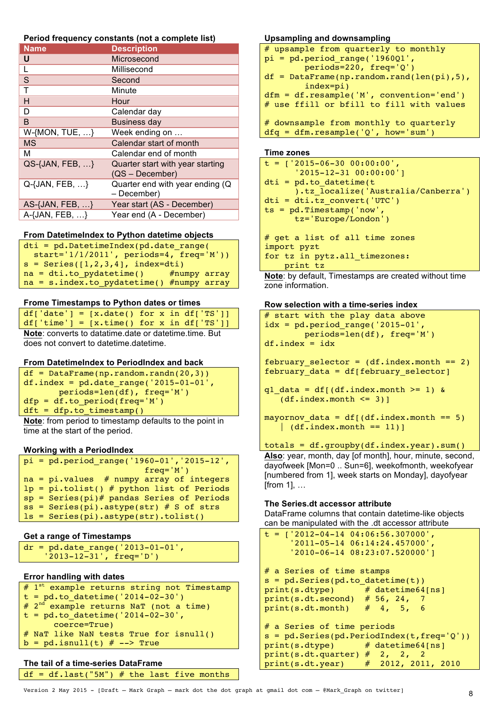### **Period frequency constants (not a complete list)**

| <b>Name</b>                 | <b>Description</b>               |
|-----------------------------|----------------------------------|
| U                           | Microsecond                      |
|                             | Millisecond                      |
| S                           | Second                           |
| T                           | Minute                           |
| н                           | Hour                             |
| D                           | Calendar day                     |
| B                           | <b>Business day</b>              |
| $W-$ {MON, TUE, $\dots$ }   | Week ending on                   |
| <b>MS</b>                   | Calendar start of month          |
| M                           | Calendar end of month            |
| $QS$ -{JAN, FEB, $\ldots$ } | Quarter start with year starting |
|                             | $(QS - December)$                |
| Q-{JAN, FEB, }              | Quarter end with year ending (Q  |
|                             | - December)                      |
| AS- $\{JAN, FEB, \ldots\}$  | Year start (AS - December)       |
| A-{JAN, FEB, }              | Year end (A - December)          |

## **From DatetimeIndex to Python datetime objects**

| $dt$ = pd.DatetimeIndex(pd.date range(          |  |  |  |  |  |
|-------------------------------------------------|--|--|--|--|--|
| start= $'1/1/2011'$ , periods=4, freq= $'M')$ ) |  |  |  |  |  |
| $s =$ Series([1,2,3,4], index=dti)              |  |  |  |  |  |
| $na = dti.to pydatetime()$ #numpy array         |  |  |  |  |  |
| $na = s.index.to pydatetime() #numpy array$     |  |  |  |  |  |

## **Frome Timestamps to Python dates or times**

| $df['date'] = [x.data() for x in df['TS']]$                  |  |  |
|--------------------------------------------------------------|--|--|
| $df['time'] = [x.time() for x in df['TS']]$                  |  |  |
| <b>Note:</b> converts to datatime.date or datetime.time. But |  |  |

does not convert to datetime.datetime.

## **From DatetimeIndex to PeriodIndex and back**

```
df = DataFrame(np.random.random(20,3))df.index = pd.data range('2015-01-01', periods=len(df), freq='M')
dfp = df.to-period(freq='M')dft = dfp.to_timestamp()
```
**Note**: from period to timestamp defaults to the point in time at the start of the period.

## **Working with a PeriodIndex**

|  | $pi = pd.period range('1960-01', '2015-12',$ |
|--|----------------------------------------------|
|  | $freq='M')$                                  |
|  | $na = pi.values$ # numpy array of integers   |
|  | $lp = pi.tolist()$ # python list of Periods  |
|  | $sp = Series(pi)$ pandas Series of Periods   |
|  | $ss = Series(pi).astype(str) # S of strs$    |
|  | $ls = Series(pi).astype(str).tolist()$       |
|  |                                              |

## **Get a range of Timestamps**

 $dr = pd.data range('2013-01-01',$ '2013-12-31', freq='D')

## **Error handling with dates**

```
# 1^{\text{st}} example returns string not Timestamp
t = pd.to.datetime('2014-02-30')# 2<sup>nd</sup> example returns NaT (not a time)
t = pd.to datetime('2014-02-30', coerce=True)
# NaT like NaN tests True for isnull()
b = pd.isnull(t) # -- > True
```
## **The tail of a time-series DataFrame**

```
df = dfulet("5M") # the last five months
```
## **Upsampling and downsampling**

```
# upsample from quarterly to monthly
pi = pd.period range('1960Q1', periods=220, freq='Q')
df = DataFrame(np.random.randn(len(pi),5), index=pi)
dfm = df.resample('M', convention='end')
# use ffill or bfill to fill with values
# downsample from monthly to quarterly
dfq = dfm.readmple('Q', how='sum')
```
### **Time zones**

```
t = ['2015-06-30 00:00:00',
       '2015-12-31 00:00:00']
dti = pd.to datetime(t
       ).tz_localize('Australia/Canberra')
dti = dti.tz_convert('UTC')
ts = pd.Timestamp('now', 
       tz='Europe/London')
# get a list of all time zones
import pyzt
for tz in pytz.all timezones:
    print tz
```
**Note**: by default, Timestamps are created without time zone information.

### **Row selection with a time-series index**

```
# start with the play data above
idx = pd.period_range('2015-01', periods=len(df), freq='M')
df.index = idx
```
february selector =  $(df.index.month == 2)$  $february<sub>2</sub> data = df[february_selectron]$ 

```
q1<sup>data = df[(df.index.month >= 1) &</sup>
   (df.index.month \leq 3)]
```

```
mayornov data = df[(df.index.month == 5)
   \vert (df.index.month == 11)]
```
## totals = df.groupby(df.index.year).sum()

**Also**: year, month, day [of month], hour, minute, second, dayofweek [Mon=0 .. Sun=6], weekofmonth, weekofyear [numbered from 1], week starts on Monday], dayofyear [from 1], …

## **The Series.dt accessor attribute**

DataFrame columns that contain datetime-like objects can be manipulated with the .dt accessor attribute

```
t = ['2012-04-14 04:06:56.307000',
      '2011-05-14 06:14:24.457000',
      '2010-06-14 08:23:07.520000']
# a Series of time stamps
s = pd.Series(pd.to_datetime(t))
print(s.dtype) # datetime64[ns]
print(s.dt.second) # 56, 24, 7print(s.dt.month) # 4, 5, 6
# a Series of time periods
s = pd.Series(pd.PeriodIndex(t,freq='Q'))print(s.dtype) # datetime64[ns]
print(s.dt.quarter) # 2, 2, 2
print(s.dt.year) # 2012, 2011, 2010
```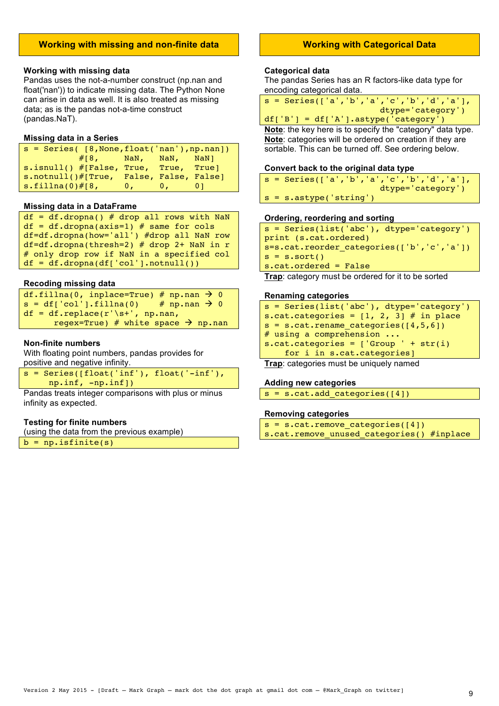## **Working with missing and non-finite data**

### **Working with missing data**

Pandas uses the not-a-number construct (np.nan and float('nan')) to indicate missing data. The Python None can arise in data as well. It is also treated as missing data; as is the pandas not-a-time construct (pandas.NaT).

#### **Missing data in a Series**

| $s = Series([8, None, float('nan'), np.nan])$ |  |  |  |  |  |  |
|-----------------------------------------------|--|--|--|--|--|--|
| $#[8,$ NaN, NaN, NaN]                         |  |  |  |  |  |  |
| s.isnull() #[False, True, True, True]         |  |  |  |  |  |  |
| s.notnull()#[True, False, False, False]       |  |  |  |  |  |  |
| $\textsf{s-fillna}(0)$ #[8, 0, 0, 0]          |  |  |  |  |  |  |

### **Missing data in a DataFrame**

| $df = df.dropna()$ # drop all rows with NaN    |
|------------------------------------------------|
| $df = df.dropna(axis=1)$ # same for cols       |
| $df = df.dropna(how='all') # drop all NaN row$ |
| $df = df.dropna(thresh=2)$ # drop 2+ NaN in r  |
| # only drop row if NaN in a specified col      |
| $df = df.dropna(df['col'].notnull())$          |

### **Recoding missing data**

| df.fillna(0, inplace=True) # np.nan $\rightarrow$ 0 |  |
|-----------------------------------------------------|--|
| $s = df['col'], fillna(0)$ # np.nan $\rightarrow 0$ |  |
| $df = df.\text{replace}(r'\s' + \eta, np.nan,$      |  |
| regex=True) # white space $\rightarrow$ np.nan      |  |

### **Non-finite numbers**

With floating point numbers, pandas provides for positive and negative infinity.

|  | $s =$ Series([float('inf'), float('-inf'), |  |
|--|--------------------------------------------|--|
|  | $np.inf, -np.inf])$                        |  |

Pandas treats integer comparisons with plus or minus infinity as expected.

### **Testing for finite numbers**

(using the data from the previous example)

 $b = np.isfinite(s)$ 

## **Working with Categorical Data**

### **Categorical data**

The pandas Series has an R factors-like data type for encoding categorical data.

|  | $s =$ Series(['a','b','a','c','b','d','a'], |  |  |                   |  |
|--|---------------------------------------------|--|--|-------------------|--|
|  |                                             |  |  | dtype='category') |  |

 $df['B'] = df['A']$ .astype('category')

**Note**: the key here is to specify the "category" data type. **Note**: categories will be ordered on creation if they are sortable. This can be turned off. See ordering below.

### **Convert back to the original data type**

|  | $s =$ Series(['a','b','a','c','b','d','a'], |                   |
|--|---------------------------------------------|-------------------|
|  |                                             | dtype='category') |
|  | $s = s.$ astype('string')                   |                   |

#### **Ordering, reordering and sorting**

```
s = Series(list('abc'), dtype='category')
print (s.cat.ordered)
s=s.cat.reorder_categories(['b','c','a'])
s = s.sort()s.cat.ordered = False
```
**Trap**: category must be ordered for it to be sorted

#### **Renaming categories**

| $s = Series(list('abc'), dtype='category')$      |
|--------------------------------------------------|
| s.cat.categories = $[1, 2, 3]$ # in place        |
| $s = s.cat.$ rename categories ( $\{4, 5, 6\}$ ) |
| # using a comprehension $\ldots$                 |
| s.cat.categories = $['Group' + str(i)]$          |
| for i in s.cat.categories]                       |

**Trap**: categories must be uniquely named

#### **Adding new categories**

```
s = s.cat.add_categories([4])
```
### **Removing categories**

| $s = s.cat.$ remove categories([4])       |  |  |
|-------------------------------------------|--|--|
| s.cat.remove_unused_categories() #inplace |  |  |